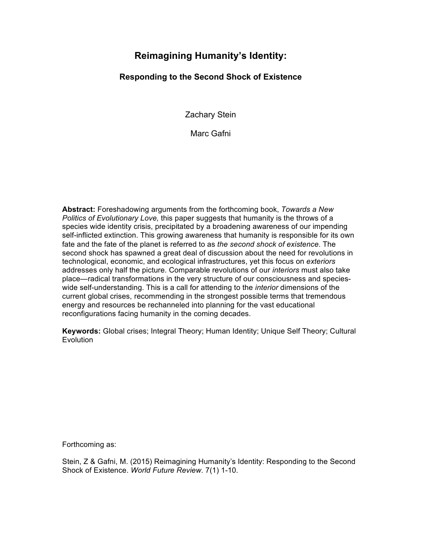# **Reimagining Humanity's Identity:**

## **Responding to the Second Shock of Existence**

Zachary Stein

Marc Gafni

**Abstract:** Foreshadowing arguments from the forthcoming book, *Towards a New Politics of Evolutionary Love,* this paper suggests that humanity is the throws of a species wide identity crisis, precipitated by a broadening awareness of our impending self-inflicted extinction. This growing awareness that humanity is responsible for its own fate and the fate of the planet is referred to as *the second shock of existence*. The second shock has spawned a great deal of discussion about the need for revolutions in technological, economic, and ecological infrastructures, yet this focus on *exteriors* addresses only half the picture. Comparable revolutions of our *interiors* must also take place—radical transformations in the very structure of our consciousness and specieswide self-understanding. This is a call for attending to the *interior* dimensions of the current global crises, recommending in the strongest possible terms that tremendous energy and resources be rechanneled into planning for the vast educational reconfigurations facing humanity in the coming decades.

**Keywords:** Global crises; Integral Theory; Human Identity; Unique Self Theory; Cultural **Evolution** 

Forthcoming as:

Stein, Z & Gafni, M. (2015) Reimagining Humanity's Identity: Responding to the Second Shock of Existence. *World Future Review.* 7(1) 1-10.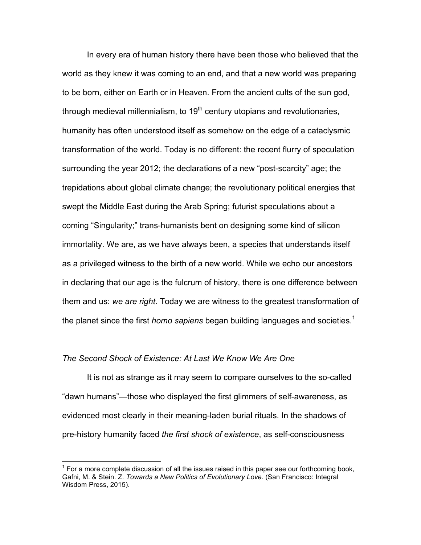In every era of human history there have been those who believed that the world as they knew it was coming to an end, and that a new world was preparing to be born, either on Earth or in Heaven. From the ancient cults of the sun god, through medieval millennialism, to  $19<sup>th</sup>$  century utopians and revolutionaries, humanity has often understood itself as somehow on the edge of a cataclysmic transformation of the world. Today is no different: the recent flurry of speculation surrounding the year 2012; the declarations of a new "post-scarcity" age; the trepidations about global climate change; the revolutionary political energies that swept the Middle East during the Arab Spring; futurist speculations about a coming "Singularity;" trans-humanists bent on designing some kind of silicon immortality. We are, as we have always been, a species that understands itself as a privileged witness to the birth of a new world. While we echo our ancestors in declaring that our age is the fulcrum of history, there is one difference between them and us: *we are right*. Today we are witness to the greatest transformation of the planet since the first *homo sapiens* began building languages and societies.<sup>1</sup>

#### *The Second Shock of Existence: At Last We Know We Are One*

It is not as strange as it may seem to compare ourselves to the so-called "dawn humans"—those who displayed the first glimmers of self-awareness, as evidenced most clearly in their meaning-laden burial rituals. In the shadows of pre-history humanity faced *the first shock of existence*, as self-consciousness

 <sup>1</sup> For a more complete discussion of all the issues raised in this paper see our forthcoming book, Gafni, M. & Stein. Z. *Towards a New Politics of Evolutionary Love*. (San Francisco: Integral Wisdom Press, 2015).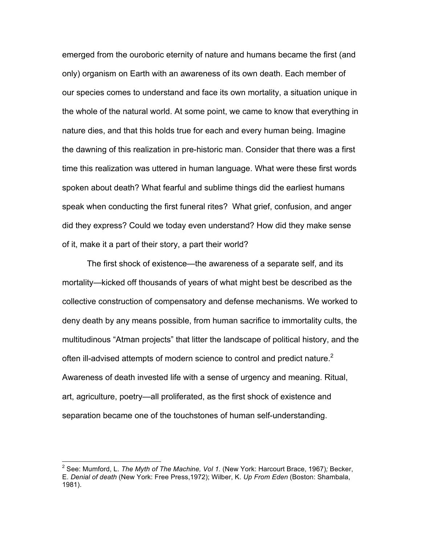emerged from the ouroboric eternity of nature and humans became the first (and only) organism on Earth with an awareness of its own death. Each member of our species comes to understand and face its own mortality, a situation unique in the whole of the natural world. At some point, we came to know that everything in nature dies, and that this holds true for each and every human being. Imagine the dawning of this realization in pre-historic man. Consider that there was a first time this realization was uttered in human language. What were these first words spoken about death? What fearful and sublime things did the earliest humans speak when conducting the first funeral rites? What grief, confusion, and anger did they express? Could we today even understand? How did they make sense of it, make it a part of their story, a part their world?

The first shock of existence—the awareness of a separate self, and its mortality—kicked off thousands of years of what might best be described as the collective construction of compensatory and defense mechanisms. We worked to deny death by any means possible, from human sacrifice to immortality cults, the multitudinous "Atman projects" that litter the landscape of political history, and the often ill-advised attempts of modern science to control and predict nature.<sup>2</sup> Awareness of death invested life with a sense of urgency and meaning. Ritual, art, agriculture, poetry—all proliferated, as the first shock of existence and separation became one of the touchstones of human self-understanding.

 <sup>2</sup> See: Mumford, L. *The Myth of The Machine, Vol 1.* (New York: Harcourt Brace, 1967)*;* Becker, E. *Denial of death* (New York: Free Press,1972); Wilber, K. *Up From Eden* (Boston: Shambala, 1981).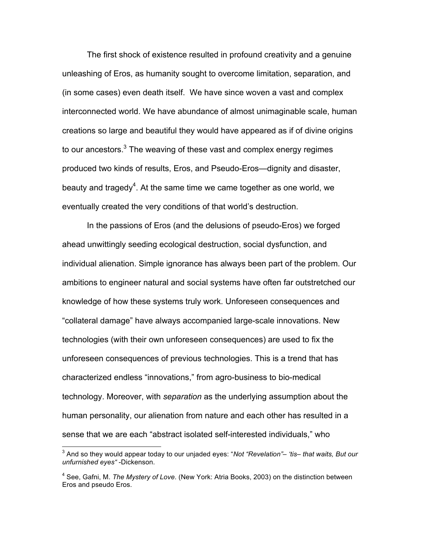The first shock of existence resulted in profound creativity and a genuine unleashing of Eros, as humanity sought to overcome limitation, separation, and (in some cases) even death itself. We have since woven a vast and complex interconnected world. We have abundance of almost unimaginable scale, human creations so large and beautiful they would have appeared as if of divine origins to our ancestors.<sup>3</sup> The weaving of these vast and complex energy regimes produced two kinds of results, Eros, and Pseudo-Eros—dignity and disaster, beauty and tragedy<sup>4</sup>. At the same time we came together as one world, we eventually created the very conditions of that world's destruction.

In the passions of Eros (and the delusions of pseudo-Eros) we forged ahead unwittingly seeding ecological destruction, social dysfunction, and individual alienation. Simple ignorance has always been part of the problem. Our ambitions to engineer natural and social systems have often far outstretched our knowledge of how these systems truly work. Unforeseen consequences and "collateral damage" have always accompanied large-scale innovations. New technologies (with their own unforeseen consequences) are used to fix the unforeseen consequences of previous technologies. This is a trend that has characterized endless "innovations," from agro-business to bio-medical technology. Moreover, with *separation* as the underlying assumption about the human personality, our alienation from nature and each other has resulted in a sense that we are each "abstract isolated self-interested individuals," who

 <sup>3</sup> And so they would appear today to our unjaded eyes: "*Not "Revelation"– 'tis– that waits, But our unfurnished eyes"* -Dickenson.

<sup>4</sup> See, Gafni, M. *The Mystery of Love*. (New York: Atria Books, 2003) on the distinction between Eros and pseudo Eros.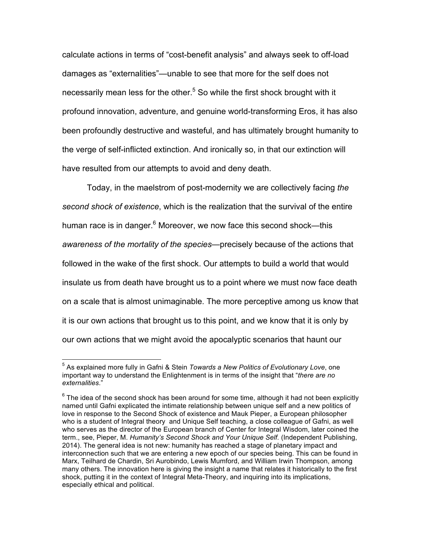calculate actions in terms of "cost-benefit analysis" and always seek to off-load damages as "externalities"—unable to see that more for the self does not necessarily mean less for the other.<sup>5</sup> So while the first shock brought with it profound innovation, adventure, and genuine world-transforming Eros, it has also been profoundly destructive and wasteful, and has ultimately brought humanity to the verge of self-inflicted extinction. And ironically so, in that our extinction will have resulted from our attempts to avoid and deny death.

Today, in the maelstrom of post-modernity we are collectively facing *the second shock of existence*, which is the realization that the survival of the entire human race is in danger.<sup>6</sup> Moreover, we now face this second shock—this *awareness of the mortality of the species—*precisely because of the actions that followed in the wake of the first shock. Our attempts to build a world that would insulate us from death have brought us to a point where we must now face death on a scale that is almost unimaginable. The more perceptive among us know that it is our own actions that brought us to this point, and we know that it is only by our own actions that we might avoid the apocalyptic scenarios that haunt our

 <sup>5</sup> As explained more fully in Gafni & Stein *Towards a New Politics of Evolutionary Love*, one important way to understand the Enlightenment is in terms of the insight that "*there are no externalities*."

 $6$  The idea of the second shock has been around for some time, although it had not been explicitly named until Gafni explicated the intimate relationship between unique self and a new politics of love in response to the Second Shock of existence and Mauk Pieper, a European philosopher who is a student of Integral theory and Unique Self teaching, a close colleague of Gafni, as well who serves as the director of the European branch of Center for Integral Wisdom, later coined the term., see, Pieper, M. *Humanity's Second Shock and Your Unique Self.* (Independent Publishing, 2014). The general idea is not new: humanity has reached a stage of planetary impact and interconnection such that we are entering a new epoch of our species being. This can be found in Marx, Teilhard de Chardin, Sri Aurobindo, Lewis Mumford, and William Irwin Thompson, among many others. The innovation here is giving the insight a name that relates it historically to the first shock, putting it in the context of Integral Meta-Theory, and inquiring into its implications, especially ethical and political.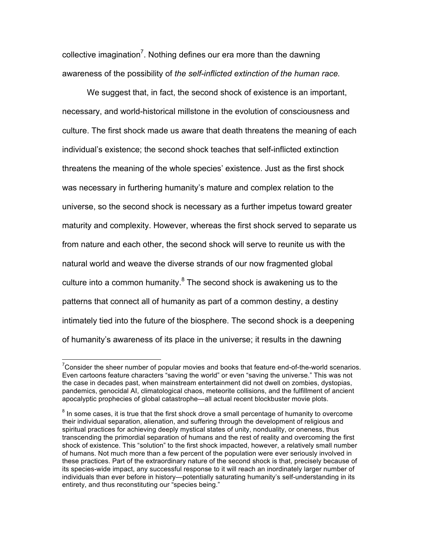collective imagination<sup>7</sup>. Nothing defines our era more than the dawning awareness of the possibility of *the self-inflicted extinction of the human race.* 

We suggest that, in fact, the second shock of existence is an important, necessary, and world-historical millstone in the evolution of consciousness and culture. The first shock made us aware that death threatens the meaning of each individual's existence; the second shock teaches that self-inflicted extinction threatens the meaning of the whole species' existence. Just as the first shock was necessary in furthering humanity's mature and complex relation to the universe, so the second shock is necessary as a further impetus toward greater maturity and complexity. However, whereas the first shock served to separate us from nature and each other, the second shock will serve to reunite us with the natural world and weave the diverse strands of our now fragmented global culture into a common humanity. $8$  The second shock is awakening us to the patterns that connect all of humanity as part of a common destiny, a destiny intimately tied into the future of the biosphere. The second shock is a deepening of humanity's awareness of its place in the universe; it results in the dawning

The model of the sheer number of popular movies and books that feature end-of-the-world scenarios.<br>The state of the sheer number of popular movies and books that feature end-of-the-world scenarios. Even cartoons feature characters "saving the world" or even "saving the universe." This was not the case in decades past, when mainstream entertainment did not dwell on zombies, dystopias, pandemics, genocidal AI, climatological chaos, meteorite collisions, and the fulfillment of ancient apocalyptic prophecies of global catastrophe—all actual recent blockbuster movie plots.

 $8$  In some cases, it is true that the first shock drove a small percentage of humanity to overcome their individual separation, alienation, and suffering through the development of religious and spiritual practices for achieving deeply mystical states of unity, nonduality, or oneness, thus transcending the primordial separation of humans and the rest of reality and overcoming the first shock of existence. This "solution" to the first shock impacted, however, a relatively small number of humans. Not much more than a few percent of the population were ever seriously involved in these practices. Part of the extraordinary nature of the second shock is that, precisely because of its species-wide impact, any successful response to it will reach an inordinately larger number of individuals than ever before in history—potentially saturating humanity's self-understanding in its entirety, and thus reconstituting our "species being."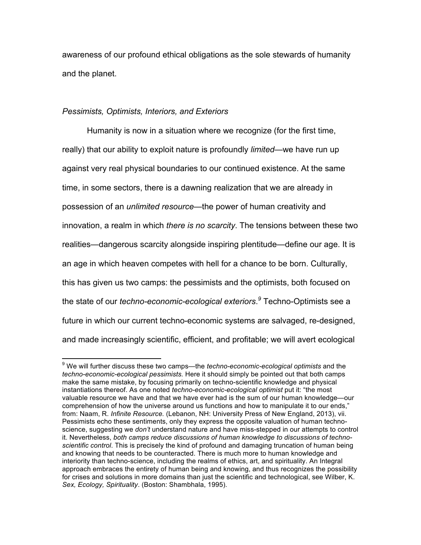awareness of our profound ethical obligations as the sole stewards of humanity and the planet.

### *Pessimists, Optimists, Interiors, and Exteriors*

Humanity is now in a situation where we recognize (for the first time, really) that our ability to exploit nature is profoundly *limited*—we have run up against very real physical boundaries to our continued existence. At the same time, in some sectors, there is a dawning realization that we are already in possession of an *unlimited resource—*the power of human creativity and innovation, a realm in which *there is no scarcity*. The tensions between these two realities—dangerous scarcity alongside inspiring plentitude—define our age. It is an age in which heaven competes with hell for a chance to be born. Culturally, this has given us two camps: the pessimists and the optimists, both focused on the state of our *techno-economic-ecological exteriors*. *<sup>9</sup>* Techno-Optimists see a future in which our current techno-economic systems are salvaged, re-designed, and made increasingly scientific, efficient, and profitable; we will avert ecological

 <sup>9</sup> We will further discuss these two camps—the *techno-economic-ecological optimists* and the *techno-economic-ecological pessimists.* Here it should simply be pointed out that both camps make the same mistake, by focusing primarily on techno-scientific knowledge and physical instantiations thereof. As one noted *techno-economic-ecological optimist* put it: "the most valuable resource we have and that we have ever had is the sum of our human knowledge—our comprehension of how the universe around us functions and how to manipulate it to our ends," from: Naam, R. *Infinite Resource.* (Lebanon, NH: University Press of New England, 2013), vii. Pessimists echo these sentiments, only they express the opposite valuation of human technoscience, suggesting we *don't* understand nature and have miss-stepped in our attempts to control it. Nevertheless, *both camps reduce discussions of human knowledge to discussions of technoscientific control*. This is precisely the kind of profound and damaging truncation of human being and knowing that needs to be counteracted. There is much more to human knowledge and interiority than techno-science, including the realms of ethics, art, and spirituality. An Integral approach embraces the entirety of human being and knowing, and thus recognizes the possibility for crises and solutions in more domains than just the scientific and technological, see Wilber, K. *Sex, Ecology, Spirituality*. (Boston: Shambhala, 1995).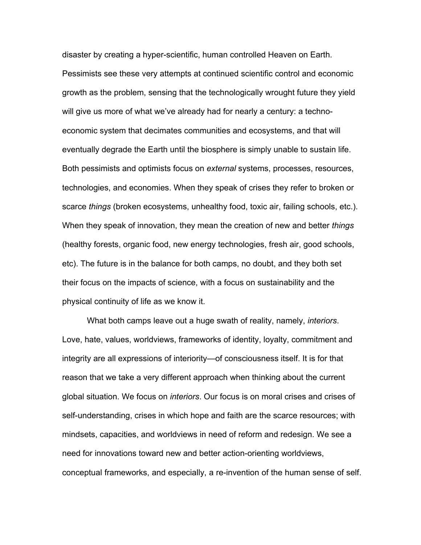disaster by creating a hyper-scientific, human controlled Heaven on Earth. Pessimists see these very attempts at continued scientific control and economic growth as the problem, sensing that the technologically wrought future they yield will give us more of what we've already had for nearly a century: a technoeconomic system that decimates communities and ecosystems, and that will eventually degrade the Earth until the biosphere is simply unable to sustain life. Both pessimists and optimists focus on *external* systems, processes, resources, technologies, and economies. When they speak of crises they refer to broken or scarce *things* (broken ecosystems, unhealthy food, toxic air, failing schools, etc.). When they speak of innovation, they mean the creation of new and better *things*  (healthy forests, organic food, new energy technologies, fresh air, good schools, etc). The future is in the balance for both camps, no doubt, and they both set their focus on the impacts of science, with a focus on sustainability and the physical continuity of life as we know it.

What both camps leave out a huge swath of reality, namely, *interiors*. Love, hate, values, worldviews, frameworks of identity, loyalty, commitment and integrity are all expressions of interiority—of consciousness itself. It is for that reason that we take a very different approach when thinking about the current global situation. We focus on *interiors*. Our focus is on moral crises and crises of self-understanding, crises in which hope and faith are the scarce resources; with mindsets, capacities, and worldviews in need of reform and redesign. We see a need for innovations toward new and better action-orienting worldviews, conceptual frameworks, and especially, a re-invention of the human sense of self.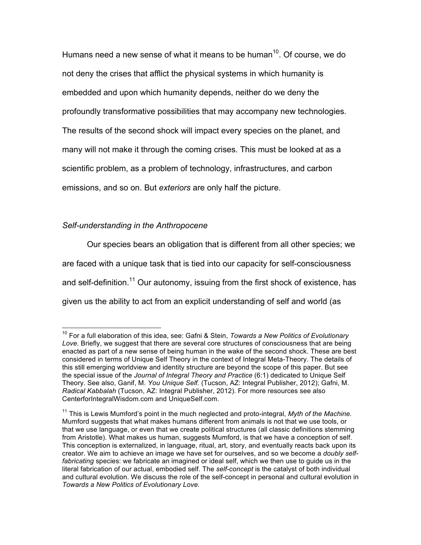Humans need a new sense of what it means to be human $10$ . Of course, we do not deny the crises that afflict the physical systems in which humanity is embedded and upon which humanity depends, neither do we deny the profoundly transformative possibilities that may accompany new technologies. The results of the second shock will impact every species on the planet, and many will not make it through the coming crises. This must be looked at as a scientific problem, as a problem of technology, infrastructures, and carbon emissions, and so on. But *exteriors* are only half the picture.

#### *Self-understanding in the Anthropocene*

Our species bears an obligation that is different from all other species; we are faced with a unique task that is tied into our capacity for self-consciousness and self-definition.<sup>11</sup> Our autonomy, issuing from the first shock of existence, has given us the ability to act from an explicit understanding of self and world (as

 <sup>10</sup> For a full elaboration of this idea, see: Gafni & Stein, *Towards a New Politics of Evolutionary Love.* Briefly, we suggest that there are several core structures of consciousness that are being enacted as part of a new sense of being human in the wake of the second shock. These are best considered in terms of Unique Self Theory in the context of Integral Meta-Theory. The details of this still emerging worldview and identity structure are beyond the scope of this paper. But see the special issue of the *Journal of Integral Theory and Practice* (6:1) dedicated to Unique Self Theory. See also, Ganif, M. *You Unique Self.* (Tucson, AZ: Integral Publisher, 2012); Gafni, M. *Radical Kabbalah* (Tucson, AZ: Integral Publisher, 2012). For more resources see also CenterforIntegralWisdom.com and UniqueSelf.com.

<sup>&</sup>lt;sup>11</sup> This is Lewis Mumford's point in the much neglected and proto-integral, Myth of the Machine. Mumford suggests that what makes humans different from animals is not that we use tools, or that we use language, or even that we create political structures (all classic definitions stemming from Aristotle). What makes us human, suggests Mumford, is that we have a conception of self. This conception is externalized, in language, ritual, art, story, and eventually reacts back upon its creator. We aim to achieve an image we have set for ourselves, and so we become a *doubly selffabricating* species: we fabricate an imagined or ideal self, which we then use to guide us in the literal fabrication of our actual, embodied self. The *self-concept* is the catalyst of both individual and cultural evolution. We discuss the role of the self-concept in personal and cultural evolution in *Towards a New Politics of Evolutionary Love.*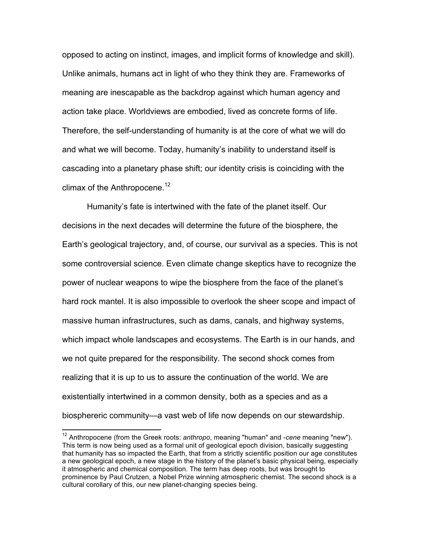opposed to acting on instinct, images, and implicit forms of knowledge and skill). Unlike animals, humans act in light of who they think they are. Frameworks of meaning are inescapable as the backdrop against which human agency and action take place. Worldviews are embodied, lived as concrete forms of life. Therefore, the self-understanding of humanity is at the core of what we will do and what we will become. Today, humanity's inability to understand itself is cascading into a planetary phase shift; our identity crisis is coinciding with the climax of the Anthropocene.<sup>12</sup>

Humanity's fate is intertwined with the fate of the planet itself. Our decisions in the next decades will determine the future of the biosphere, the Earth's geological trajectory, and, of course, our survival as a species. This is not some controversial science. Even climate change skeptics have to recognize the power of nuclear weapons to wipe the biosphere from the face of the planet's hard rock mantel. It is also impossible to overlook the sheer scope and impact of massive human infrastructures, such as dams, canals, and highway systems, which impact whole landscapes and ecosystems. The Earth is in our hands, and we not quite prepared for the responsibility. The second shock comes from realizing that it is up to us to assure the continuation of the world. We are existentially intertwined in a common density, both as a species and as a biosphereric community—a vast web of life now depends on our stewardship.

 <sup>12</sup> Anthropocene (from the Greek roots: *anthropo*, meaning "human" and -*cene* meaning "new"). This term is now being used as a formal unit of geological epoch division, basically suggesting that humanity has so impacted the Earth, that from a strictly scientific position our age constitutes a new geological epoch, a new stage in the history of the planet's basic physical being, especially it atmospheric and chemical composition. The term has deep roots, but was brought to prominence by Paul Crutzen, a Nobel Prize winning atmospheric chemist. The second shock is a cultural corollary of this, our new planet-changing species being.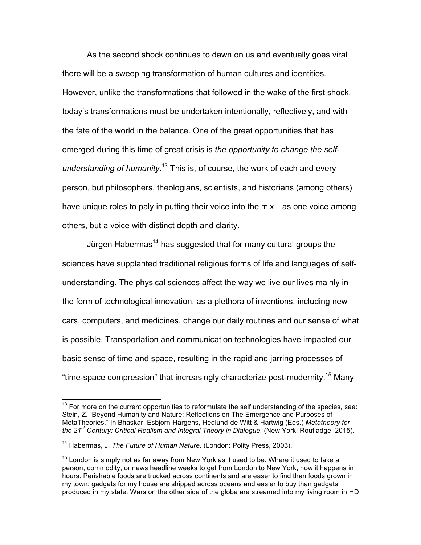As the second shock continues to dawn on us and eventually goes viral there will be a sweeping transformation of human cultures and identities. However, unlike the transformations that followed in the wake of the first shock, today's transformations must be undertaken intentionally, reflectively, and with the fate of the world in the balance. One of the great opportunities that has emerged during this time of great crisis is *the opportunity to change the selfunderstanding of humanity*. <sup>13</sup> This is, of course, the work of each and every person, but philosophers, theologians, scientists, and historians (among others) have unique roles to paly in putting their voice into the mix—as one voice among others, but a voice with distinct depth and clarity.

Jürgen Habermas<sup>14</sup> has suggested that for many cultural groups the sciences have supplanted traditional religious forms of life and languages of selfunderstanding. The physical sciences affect the way we live our lives mainly in the form of technological innovation, as a plethora of inventions, including new cars, computers, and medicines, change our daily routines and our sense of what is possible. Transportation and communication technologies have impacted our basic sense of time and space, resulting in the rapid and jarring processes of "time-space compression" that increasingly characterize post-modernity.15 Many

 $13$  For more on the current opportunities to reformulate the self understanding of the species, see: Stein, Z. "Beyond Humanity and Nature: Reflections on The Emergence and Purposes of MetaTheories." In Bhaskar, Esbjorn-Hargens, Hedlund-de Witt & Hartwig (Eds.) *Metatheory for the 21st Century: Critical Realism and Integral Theory in Dialogue.* (New York: Routladge, 2015).

<sup>&</sup>lt;sup>14</sup> Habermas, J. The Future of Human Nature. (London: Polity Press, 2003).

 $15$  London is simply not as far away from New York as it used to be. Where it used to take a person, commodity, or news headline weeks to get from London to New York, now it happens in hours. Perishable foods are trucked across continents and are easer to find than foods grown in my town; gadgets for my house are shipped across oceans and easier to buy than gadgets produced in my state. Wars on the other side of the globe are streamed into my living room in HD,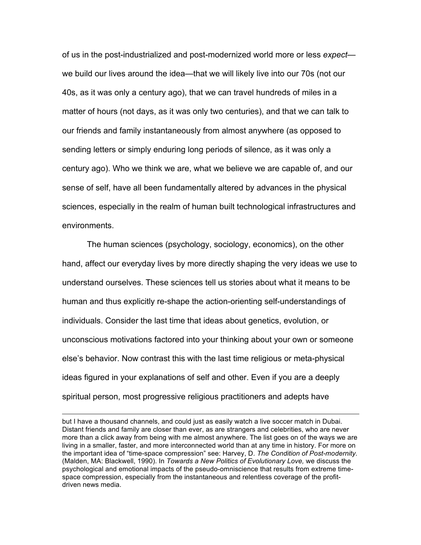of us in the post-industrialized and post-modernized world more or less *expect* we build our lives around the idea—that we will likely live into our 70s (not our 40s, as it was only a century ago), that we can travel hundreds of miles in a matter of hours (not days, as it was only two centuries), and that we can talk to our friends and family instantaneously from almost anywhere (as opposed to sending letters or simply enduring long periods of silence, as it was only a century ago). Who we think we are, what we believe we are capable of, and our sense of self, have all been fundamentally altered by advances in the physical sciences, especially in the realm of human built technological infrastructures and environments.

The human sciences (psychology, sociology, economics), on the other hand, affect our everyday lives by more directly shaping the very ideas we use to understand ourselves. These sciences tell us stories about what it means to be human and thus explicitly re-shape the action-orienting self-understandings of individuals. Consider the last time that ideas about genetics, evolution, or unconscious motivations factored into your thinking about your own or someone else's behavior. Now contrast this with the last time religious or meta-physical ideas figured in your explanations of self and other. Even if you are a deeply spiritual person, most progressive religious practitioners and adepts have

<u> 1989 - Andrea Santa Andrea Andrea Andrea Andrea Andrea Andrea Andrea Andrea Andrea Andrea Andrea Andrea Andr</u>

but I have a thousand channels, and could just as easily watch a live soccer match in Dubai. Distant friends and family are closer than ever, as are strangers and celebrities, who are never more than a click away from being with me almost anywhere. The list goes on of the ways we are living in a smaller, faster, and more interconnected world than at any time in history. For more on the important idea of "time-space compression" see: Harvey, D. *The Condition of Post-modernity.* (Malden, MA: Blackwell, 1990). In *Towards a New Politics of Evolutionary Love,* we discuss the psychological and emotional impacts of the pseudo-omniscience that results from extreme timespace compression, especially from the instantaneous and relentless coverage of the profitdriven news media.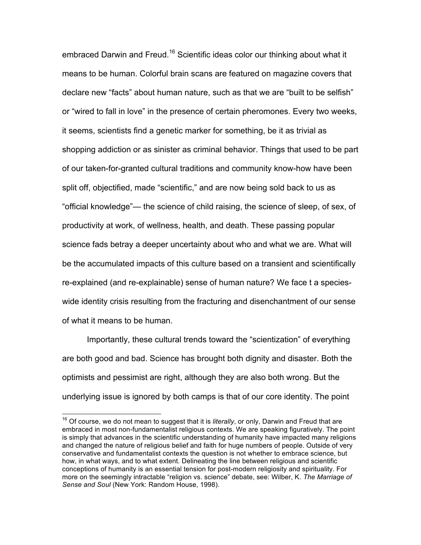embraced Darwin and Freud.<sup>16</sup> Scientific ideas color our thinking about what it means to be human. Colorful brain scans are featured on magazine covers that declare new "facts" about human nature, such as that we are "built to be selfish" or "wired to fall in love" in the presence of certain pheromones. Every two weeks, it seems, scientists find a genetic marker for something, be it as trivial as shopping addiction or as sinister as criminal behavior. Things that used to be part of our taken-for-granted cultural traditions and community know-how have been split off, objectified, made "scientific," and are now being sold back to us as "official knowledge"— the science of child raising, the science of sleep, of sex, of productivity at work, of wellness, health, and death. These passing popular science fads betray a deeper uncertainty about who and what we are. What will be the accumulated impacts of this culture based on a transient and scientifically re-explained (and re-explainable) sense of human nature? We face t a specieswide identity crisis resulting from the fracturing and disenchantment of our sense of what it means to be human.

Importantly, these cultural trends toward the "scientization" of everything are both good and bad. Science has brought both dignity and disaster. Both the optimists and pessimist are right, although they are also both wrong. But the underlying issue is ignored by both camps is that of our core identity. The point

 <sup>16</sup> Of course, we do not mean to suggest that it is *literally*, or only, Darwin and Freud that are embraced in most non-fundamentalist religious contexts. We are speaking figuratively. The point is simply that advances in the scientific understanding of humanity have impacted many religions and changed the nature of religious belief and faith for huge numbers of people. Outside of very conservative and fundamentalist contexts the question is not whether to embrace science, but how, in what ways, and to what extent. Delineating the line between religious and scientific conceptions of humanity is an essential tension for post-modern religiosity and spirituality. For more on the seemingly intractable "religion vs. science" debate, see: Wilber, K. *The Marriage of Sense and Soul* (New York: Random House, 1998).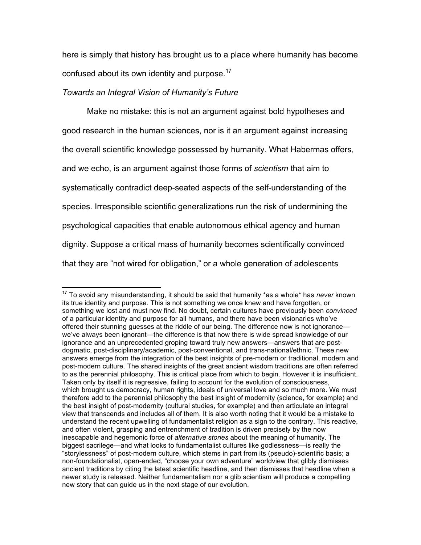here is simply that history has brought us to a place where humanity has become confused about its own identity and purpose.<sup>17</sup>

#### *Towards an Integral Vision of Humanity's Future*

Make no mistake: this is not an argument against bold hypotheses and good research in the human sciences, nor is it an argument against increasing the overall scientific knowledge possessed by humanity. What Habermas offers, and we echo, is an argument against those forms of *scientism* that aim to systematically contradict deep-seated aspects of the self-understanding of the species. Irresponsible scientific generalizations run the risk of undermining the psychological capacities that enable autonomous ethical agency and human dignity. Suppose a critical mass of humanity becomes scientifically convinced that they are "not wired for obligation," or a whole generation of adolescents

 <sup>17</sup> To avoid any misunderstanding, it should be said that humanity \*as a whole\* has *never* known its true identity and purpose. This is not something we once knew and have forgotten, or something we lost and must now find. No doubt, certain cultures have previously been *convinced*  of a particular identity and purpose for all humans, and there have been visionaries who've offered their stunning guesses at the riddle of our being. The difference now is not ignorance we've always been ignorant—the difference is that now there is wide spread knowledge of our ignorance and an unprecedented groping toward truly new answers—answers that are postdogmatic, post-disciplinary/academic, post-conventional, and trans-national/ethnic. These new answers emerge from the integration of the best insights of pre-modern or traditional, modern and post-modern culture. The shared insights of the great ancient wisdom traditions are often referred to as the perennial philosophy. This is critical place from which to begin. However it is insufficient. Taken only by itself it is regressive, failing to account for the evolution of consciousness, which brought us democracy, human rights, ideals of universal love and so much more. We must therefore add to the perennial philosophy the best insight of modernity (science, for example) and the best insight of post-modernity (cultural studies, for example) and then articulate an integral view that transcends and includes all of them. It is also worth noting that it would be a mistake to understand the recent upwelling of fundamentalist religion as a sign to the contrary. This reactive, and often violent, grasping and entrenchment of tradition is driven precisely by the now inescapable and hegemonic force of *alternative stories* about the meaning of humanity. The biggest sacrilege—and what looks to fundamentalist cultures like godlessness—is really the "storylessness" of post-modern culture, which stems in part from its (pseudo)-scientific basis; a non-foundationalist, open-ended, "choose your own adventure" worldview that glibly dismisses ancient traditions by citing the latest scientific headline, and then dismisses that headline when a newer study is released. Neither fundamentalism nor a glib scientism will produce a compelling new story that can guide us in the next stage of our evolution.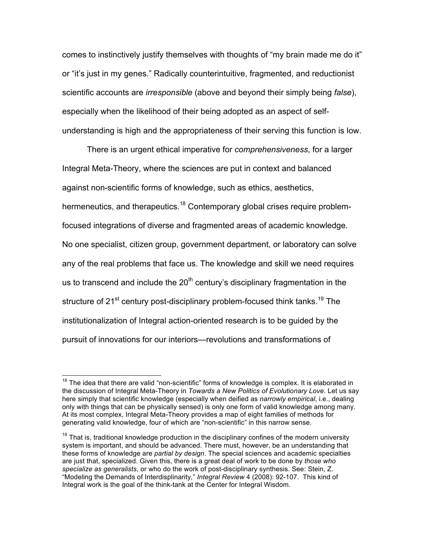comes to instinctively justify themselves with thoughts of "my brain made me do it" or "it's just in my genes." Radically counterintuitive, fragmented, and reductionist scientific accounts are *irresponsible* (above and beyond their simply being *false*), especially when the likelihood of their being adopted as an aspect of selfunderstanding is high and the appropriateness of their serving this function is low.

There is an urgent ethical imperative for *comprehensiveness*, for a larger Integral Meta-Theory, where the sciences are put in context and balanced against non-scientific forms of knowledge, such as ethics, aesthetics, hermeneutics, and therapeutics.<sup>18</sup> Contemporary global crises require problemfocused integrations of diverse and fragmented areas of academic knowledge. No one specialist, citizen group, government department, or laboratory can solve any of the real problems that face us. The knowledge and skill we need requires us to transcend and include the  $20<sup>th</sup>$  century's disciplinary fragmentation in the structure of 21<sup>st</sup> century post-disciplinary problem-focused think tanks.<sup>19</sup> The institutionalization of Integral action-oriented research is to be guided by the pursuit of innovations for our interiors—revolutions and transformations of

<sup>&</sup>lt;sup>18</sup> The idea that there are valid "non-scientific" forms of knowledge is complex. It is elaborated in the discussion of Integral Meta-Theory in *Towards a New Politics of Evolutionary Love*. Let us say here simply that scientific knowledge (especially when deified as *narrowly empirical*, i.e., dealing only with things that can be physically sensed) is only one form of valid knowledge among many. At its most complex, Integral Meta-Theory provides a map of eight families of methods for generating valid knowledge, four of which are "non-scientific" in this narrow sense.

 $19$  That is, traditional knowledge production in the disciplinary confines of the modern university system is important, and should be advanced. There must, however, be an understanding that these forms of knowledge are *partial by design*. The special sciences and academic specialties are just that, specialized. Given this, there is a great deal of work to be done by *those who specialize as generalists*, or who do the work of post-disciplinary synthesis. See: Stein, Z. "Modeling the Demands of Interdisplinarity*,*" *Integral Review* 4 (2008): 92-107. This kind of Integral work is the goal of the think-tank at the Center for Integral Wisdom.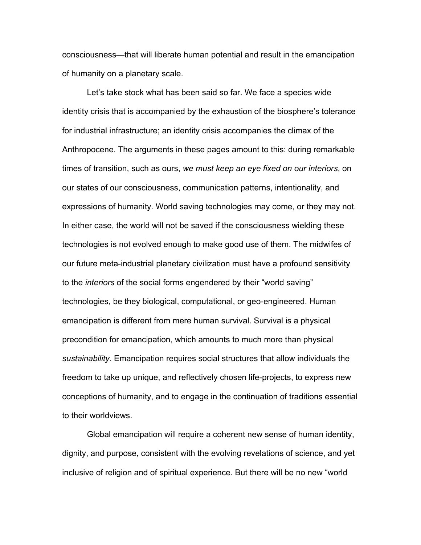consciousness—that will liberate human potential and result in the emancipation of humanity on a planetary scale.

Let's take stock what has been said so far. We face a species wide identity crisis that is accompanied by the exhaustion of the biosphere's tolerance for industrial infrastructure; an identity crisis accompanies the climax of the Anthropocene. The arguments in these pages amount to this: during remarkable times of transition, such as ours, *we must keep an eye fixed on our interiors*, on our states of our consciousness, communication patterns, intentionality, and expressions of humanity. World saving technologies may come, or they may not. In either case, the world will not be saved if the consciousness wielding these technologies is not evolved enough to make good use of them. The midwifes of our future meta-industrial planetary civilization must have a profound sensitivity to the *interiors* of the social forms engendered by their "world saving" technologies, be they biological, computational, or geo-engineered. Human emancipation is different from mere human survival. Survival is a physical precondition for emancipation, which amounts to much more than physical *sustainability*. Emancipation requires social structures that allow individuals the freedom to take up unique, and reflectively chosen life-projects, to express new conceptions of humanity, and to engage in the continuation of traditions essential to their worldviews.

Global emancipation will require a coherent new sense of human identity, dignity, and purpose, consistent with the evolving revelations of science, and yet inclusive of religion and of spiritual experience. But there will be no new "world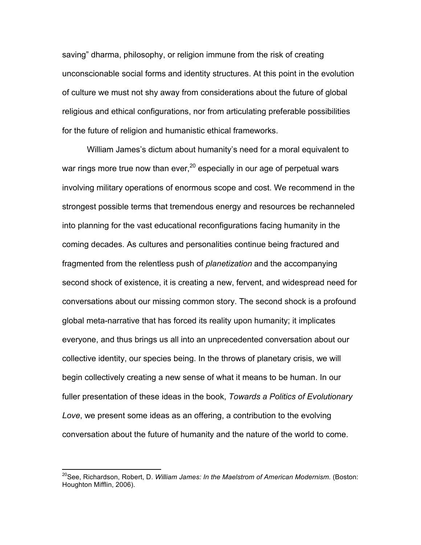saving" dharma, philosophy, or religion immune from the risk of creating unconscionable social forms and identity structures. At this point in the evolution of culture we must not shy away from considerations about the future of global religious and ethical configurations, nor from articulating preferable possibilities for the future of religion and humanistic ethical frameworks.

William James's dictum about humanity's need for a moral equivalent to war rings more true now than ever,  $20$  especially in our age of perpetual wars involving military operations of enormous scope and cost. We recommend in the strongest possible terms that tremendous energy and resources be rechanneled into planning for the vast educational reconfigurations facing humanity in the coming decades. As cultures and personalities continue being fractured and fragmented from the relentless push of *planetization* and the accompanying second shock of existence, it is creating a new, fervent, and widespread need for conversations about our missing common story. The second shock is a profound global meta-narrative that has forced its reality upon humanity; it implicates everyone, and thus brings us all into an unprecedented conversation about our collective identity, our species being. In the throws of planetary crisis, we will begin collectively creating a new sense of what it means to be human. In our fuller presentation of these ideas in the book, *Towards a Politics of Evolutionary Love*, we present some ideas as an offering, a contribution to the evolving conversation about the future of humanity and the nature of the world to come.

<sup>&</sup>lt;sup>20</sup>See, Richardson, Robert, D. *William James: In the Maelstrom of American Modernism.* (Boston: Houghton Mifflin, 2006).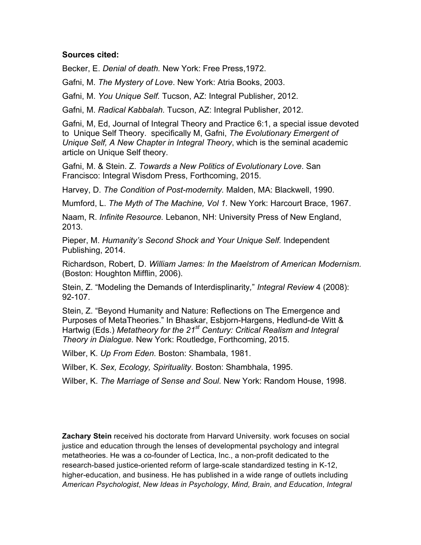#### **Sources cited:**

Becker, E. *Denial of death.* New York: Free Press,1972.

Gafni, M. *The Mystery of Love*. New York: Atria Books, 2003.

Gafni, M. *You Unique Self.* Tucson, AZ: Integral Publisher, 2012.

Gafni, M. *Radical Kabbalah.* Tucson, AZ: Integral Publisher, 2012.

Gafni, M, Ed, Journal of Integral Theory and Practice 6:1, a special issue devoted to Unique Self Theory. specifically M, Gafni, *The Evolutionary Emergent of Unique Self, A New Chapter in Integral Theory*, which is the seminal academic article on Unique Self theory.

Gafni, M. & Stein. Z. *Towards a New Politics of Evolutionary Love*. San Francisco: Integral Wisdom Press, Forthcoming, 2015.

Harvey, D. *The Condition of Post-modernity.* Malden, MA: Blackwell, 1990.

Mumford, L. *The Myth of The Machine, Vol 1.* New York: Harcourt Brace, 1967.

Naam, R. *Infinite Resource.* Lebanon, NH: University Press of New England, 2013.

Pieper, M. *Humanity's Second Shock and Your Unique Self.* Independent Publishing, 2014.

Richardson, Robert, D. *William James: In the Maelstrom of American Modernism.*  (Boston: Houghton Mifflin, 2006).

Stein, Z. "Modeling the Demands of Interdisplinarity*,*" *Integral Review* 4 (2008): 92-107.

Stein, Z. "Beyond Humanity and Nature: Reflections on The Emergence and Purposes of MetaTheories." In Bhaskar, Esbjorn-Hargens, Hedlund-de Witt & Hartwig (Eds.) *Metatheory for the 21st Century: Critical Realism and Integral Theory in Dialogue.* New York: Routledge, Forthcoming, 2015.

Wilber, K. *Up From Eden.* Boston: Shambala, 1981.

Wilber, K. *Sex, Ecology, Spirituality*. Boston: Shambhala, 1995.

Wilber, K. *The Marriage of Sense and Soul.* New York: Random House, 1998.

**Zachary Stein** received his doctorate from Harvard University. work focuses on social justice and education through the lenses of developmental psychology and integral metatheories. He was a co-founder of Lectica, Inc., a non-profit dedicated to the research-based justice-oriented reform of large-scale standardized testing in K-12, higher-education, and business. He has published in a wide range of outlets including *American Psychologist*, *New Ideas in Psychology*, *Mind, Brain, and Education*, *Integral*